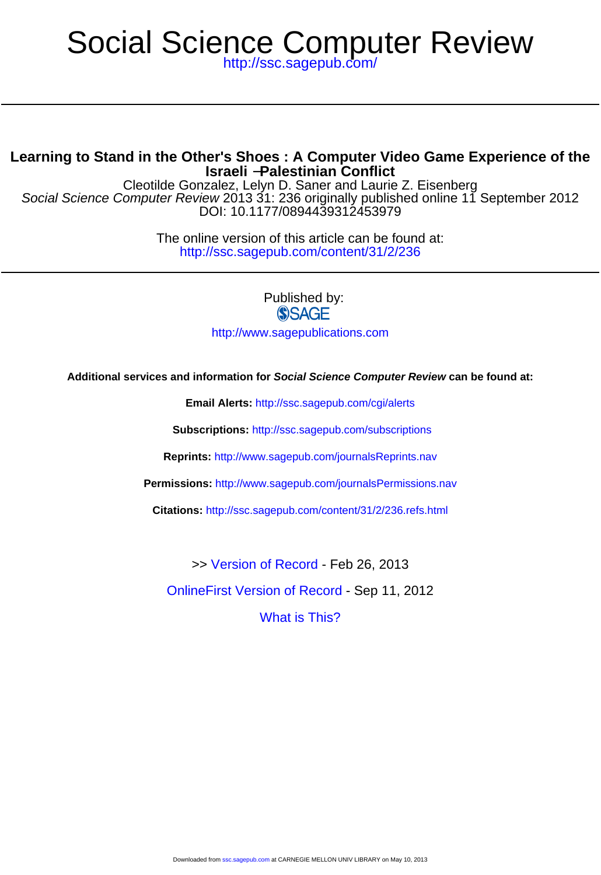# Social Science Computer Review

<http://ssc.sagepub.com/>

# **Israeli** −**Palestinian Conflict Learning to Stand in the Other's Shoes : A Computer Video Game Experience of the**

DOI: 10.1177/0894439312453979 Social Science Computer Review 2013 31: 236 originally published online 11 September 2012 Cleotilde Gonzalez, Lelyn D. Saner and Laurie Z. Eisenberg

> <http://ssc.sagepub.com/content/31/2/236> The online version of this article can be found at:

> > Published by: **SSAGE** <http://www.sagepublications.com>

**Additional services and information for Social Science Computer Review can be found at:**

**Email Alerts:** <http://ssc.sagepub.com/cgi/alerts>

**Subscriptions:** <http://ssc.sagepub.com/subscriptions>

**Reprints:** <http://www.sagepub.com/journalsReprints.nav>

**Permissions:** <http://www.sagepub.com/journalsPermissions.nav>

**Citations:** <http://ssc.sagepub.com/content/31/2/236.refs.html>

>> [Version of Record -](http://ssc.sagepub.com/content/31/2/236.full.pdf) Feb 26, 2013

[OnlineFirst Version of Record -](http://ssc.sagepub.com/content/early/2012/09/10/0894439312453979.full.pdf) Sep 11, 2012

[What is This?](http://online.sagepub.com/site/sphelp/vorhelp.xhtml)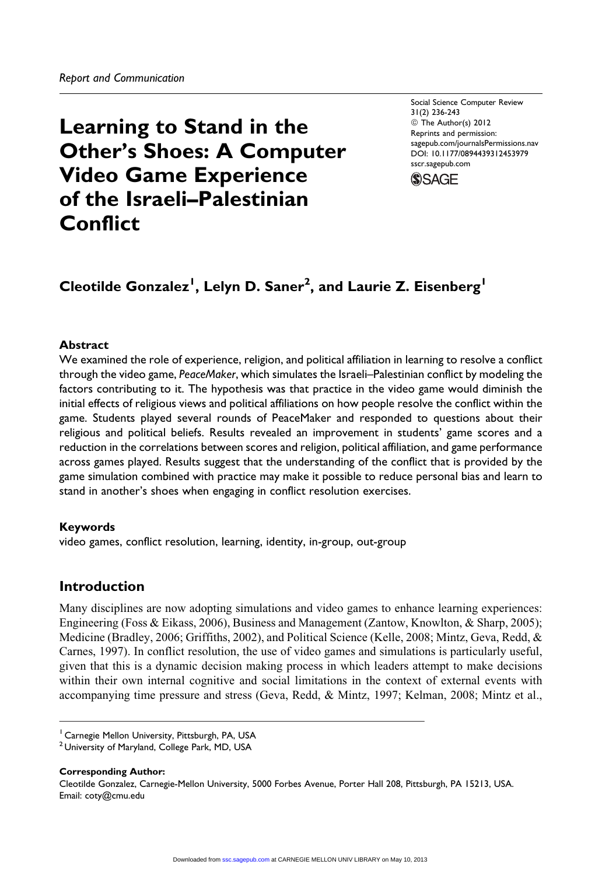# Learning to Stand in the Other's Shoes: A Computer Video Game Experience of the Israeli–Palestinian **Conflict**

Social Science Computer Review 31(2) 236-243 © The Author(s) 2012 Reprints and permission: [sagepub.com/journalsPermissions.nav](http://www.sagepub.com/journalsPermissions.nav) DOI: 10.1177/0894439312453979 [sscr.sagepub.com](http://sscr.sagepub.com)



# $\sf{C}$ leotilde  $\sf{Gonzalez}^{\sf I},$  Lelyn  $\sf{D}.$   $\sf{Saner}^2,$  and  $\sf{LaurieZ}.$  Eisenberg $^{\sf I}$

## Abstract

We examined the role of experience, religion, and political affiliation in learning to resolve a conflict through the video game, PeaceMaker, which simulates the Israeli–Palestinian conflict by modeling the factors contributing to it. The hypothesis was that practice in the video game would diminish the initial effects of religious views and political affiliations on how people resolve the conflict within the game. Students played several rounds of PeaceMaker and responded to questions about their religious and political beliefs. Results revealed an improvement in students' game scores and a reduction in the correlations between scores and religion, political affiliation, and game performance across games played. Results suggest that the understanding of the conflict that is provided by the game simulation combined with practice may make it possible to reduce personal bias and learn to stand in another's shoes when engaging in conflict resolution exercises.

### Keywords

video games, conflict resolution, learning, identity, in-group, out-group

# Introduction

Many disciplines are now adopting simulations and video games to enhance learning experiences: Engineering (Foss & Eikass, 2006), Business and Management (Zantow, Knowlton, & Sharp, 2005); Medicine (Bradley, 2006; Griffiths, 2002), and Political Science (Kelle, 2008; Mintz, Geva, Redd, & Carnes, 1997). In conflict resolution, the use of video games and simulations is particularly useful, given that this is a dynamic decision making process in which leaders attempt to make decisions within their own internal cognitive and social limitations in the context of external events with accompanying time pressure and stress (Geva, Redd, & Mintz, 1997; Kelman, 2008; Mintz et al.,

Corresponding Author:

Cleotilde Gonzalez, Carnegie-Mellon University, 5000 Forbes Avenue, Porter Hall 208, Pittsburgh, PA 15213, USA. Email: coty@cmu.edu

<sup>&</sup>lt;sup>1</sup> Carnegie Mellon University, Pittsburgh, PA, USA

<sup>&</sup>lt;sup>2</sup> University of Maryland, College Park, MD, USA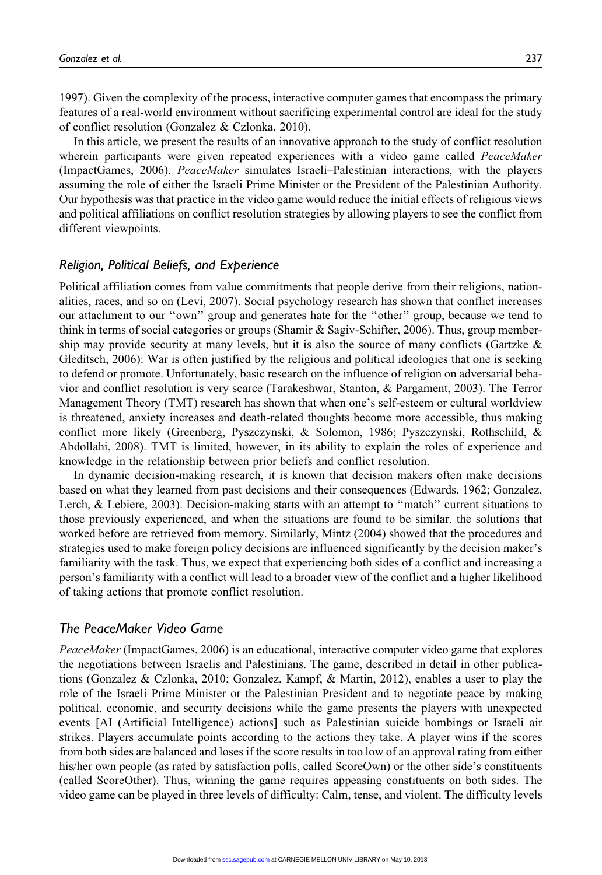1997). Given the complexity of the process, interactive computer games that encompass the primary features of a real-world environment without sacrificing experimental control are ideal for the study of conflict resolution (Gonzalez & Czlonka, 2010).

In this article, we present the results of an innovative approach to the study of conflict resolution wherein participants were given repeated experiences with a video game called *PeaceMaker* (ImpactGames, 2006). PeaceMaker simulates Israeli–Palestinian interactions, with the players assuming the role of either the Israeli Prime Minister or the President of the Palestinian Authority. Our hypothesis was that practice in the video game would reduce the initial effects of religious views and political affiliations on conflict resolution strategies by allowing players to see the conflict from different viewpoints.

# Religion, Political Beliefs, and Experience

Political affiliation comes from value commitments that people derive from their religions, nationalities, races, and so on (Levi, 2007). Social psychology research has shown that conflict increases our attachment to our ''own'' group and generates hate for the ''other'' group, because we tend to think in terms of social categories or groups (Shamir & Sagiv-Schifter, 2006). Thus, group membership may provide security at many levels, but it is also the source of many conflicts (Gartzke  $\&$ Gleditsch, 2006): War is often justified by the religious and political ideologies that one is seeking to defend or promote. Unfortunately, basic research on the influence of religion on adversarial behavior and conflict resolution is very scarce (Tarakeshwar, Stanton, & Pargament, 2003). The Terror Management Theory (TMT) research has shown that when one's self-esteem or cultural worldview is threatened, anxiety increases and death-related thoughts become more accessible, thus making conflict more likely (Greenberg, Pyszczynski, & Solomon, 1986; Pyszczynski, Rothschild, & Abdollahi, 2008). TMT is limited, however, in its ability to explain the roles of experience and knowledge in the relationship between prior beliefs and conflict resolution.

In dynamic decision-making research, it is known that decision makers often make decisions based on what they learned from past decisions and their consequences (Edwards, 1962; Gonzalez, Lerch, & Lebiere, 2003). Decision-making starts with an attempt to ''match'' current situations to those previously experienced, and when the situations are found to be similar, the solutions that worked before are retrieved from memory. Similarly, Mintz (2004) showed that the procedures and strategies used to make foreign policy decisions are influenced significantly by the decision maker's familiarity with the task. Thus, we expect that experiencing both sides of a conflict and increasing a person's familiarity with a conflict will lead to a broader view of the conflict and a higher likelihood of taking actions that promote conflict resolution.

## The PeaceMaker Video Game

PeaceMaker (ImpactGames, 2006) is an educational, interactive computer video game that explores the negotiations between Israelis and Palestinians. The game, described in detail in other publications (Gonzalez & Czlonka, 2010; Gonzalez, Kampf, & Martin, 2012), enables a user to play the role of the Israeli Prime Minister or the Palestinian President and to negotiate peace by making political, economic, and security decisions while the game presents the players with unexpected events [AI (Artificial Intelligence) actions] such as Palestinian suicide bombings or Israeli air strikes. Players accumulate points according to the actions they take. A player wins if the scores from both sides are balanced and loses if the score results in too low of an approval rating from either his/her own people (as rated by satisfaction polls, called ScoreOwn) or the other side's constituents (called ScoreOther). Thus, winning the game requires appeasing constituents on both sides. The video game can be played in three levels of difficulty: Calm, tense, and violent. The difficulty levels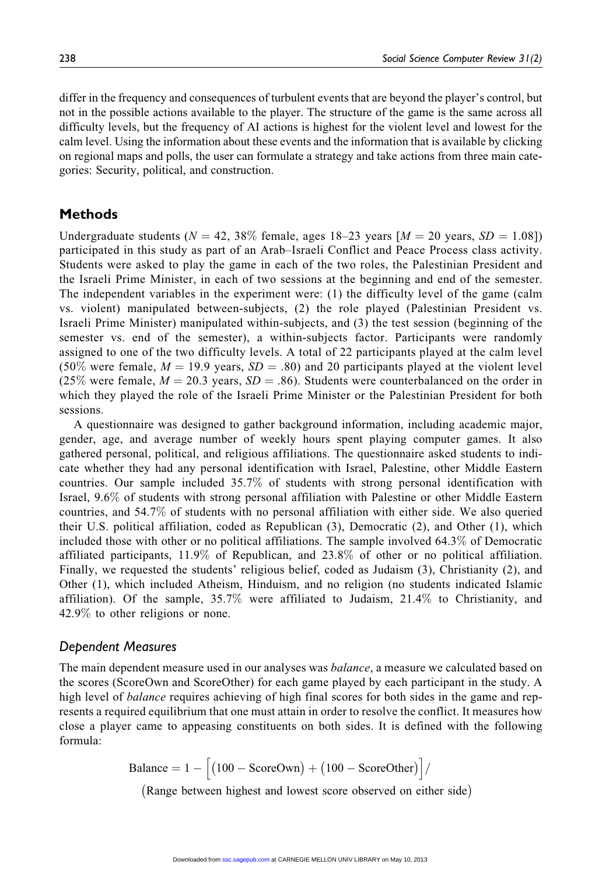differ in the frequency and consequences of turbulent events that are beyond the player's control, but not in the possible actions available to the player. The structure of the game is the same across all difficulty levels, but the frequency of AI actions is highest for the violent level and lowest for the calm level. Using the information about these events and the information that is available by clicking on regional maps and polls, the user can formulate a strategy and take actions from three main categories: Security, political, and construction.

# **Methods**

Undergraduate students ( $N = 42$ , 38% female, ages 18–23 years [ $M = 20$  years,  $SD = 1.08$ ]) participated in this study as part of an Arab–Israeli Conflict and Peace Process class activity. Students were asked to play the game in each of the two roles, the Palestinian President and the Israeli Prime Minister, in each of two sessions at the beginning and end of the semester. The independent variables in the experiment were: (1) the difficulty level of the game (calm vs. violent) manipulated between-subjects, (2) the role played (Palestinian President vs. Israeli Prime Minister) manipulated within-subjects, and (3) the test session (beginning of the semester vs. end of the semester), a within-subjects factor. Participants were randomly assigned to one of the two difficulty levels. A total of 22 participants played at the calm level (50% were female,  $M = 19.9$  years,  $SD = .80$ ) and 20 participants played at the violent level (25% were female,  $M = 20.3$  years,  $SD = .86$ ). Students were counterbalanced on the order in which they played the role of the Israeli Prime Minister or the Palestinian President for both sessions.

A questionnaire was designed to gather background information, including academic major, gender, age, and average number of weekly hours spent playing computer games. It also gathered personal, political, and religious affiliations. The questionnaire asked students to indicate whether they had any personal identification with Israel, Palestine, other Middle Eastern countries. Our sample included 35.7% of students with strong personal identification with Israel, 9.6% of students with strong personal affiliation with Palestine or other Middle Eastern countries, and 54.7% of students with no personal affiliation with either side. We also queried their U.S. political affiliation, coded as Republican (3), Democratic (2), and Other (1), which included those with other or no political affiliations. The sample involved 64.3% of Democratic affiliated participants, 11.9% of Republican, and 23.8% of other or no political affiliation. Finally, we requested the students' religious belief, coded as Judaism (3), Christianity (2), and Other (1), which included Atheism, Hinduism, and no religion (no students indicated Islamic affiliation). Of the sample, 35.7% were affiliated to Judaism, 21.4% to Christianity, and 42.9% to other religions or none.

### Dependent Measures

The main dependent measure used in our analyses was *balance*, a measure we calculated based on the scores (ScoreOwn and ScoreOther) for each game played by each participant in the study. A high level of *balance* requires achieving of high final scores for both sides in the game and represents a required equilibrium that one must attain in order to resolve the conflict. It measures how close a player came to appeasing constituents on both sides. It is defined with the following formula:

Balance = 
$$
1 - \left[ (100 - ScoreOwn) + (100 - ScoreOther) \right] /
$$

- Range between highest and lowest score observed on either side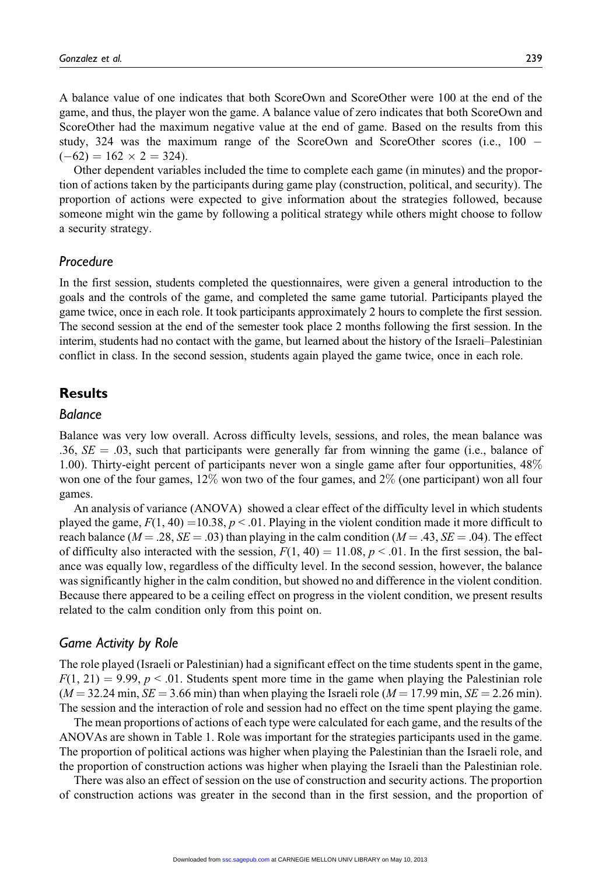A balance value of one indicates that both ScoreOwn and ScoreOther were 100 at the end of the game, and thus, the player won the game. A balance value of zero indicates that both ScoreOwn and ScoreOther had the maximum negative value at the end of game. Based on the results from this study, 324 was the maximum range of the ScoreOwn and ScoreOther scores (i.e., 100 –  $(-62) = 162 \times 2 = 324.$ 

Other dependent variables included the time to complete each game (in minutes) and the proportion of actions taken by the participants during game play (construction, political, and security). The proportion of actions were expected to give information about the strategies followed, because someone might win the game by following a political strategy while others might choose to follow a security strategy.

# Procedure

In the first session, students completed the questionnaires, were given a general introduction to the goals and the controls of the game, and completed the same game tutorial. Participants played the game twice, once in each role. It took participants approximately 2 hours to complete the first session. The second session at the end of the semester took place 2 months following the first session. In the interim, students had no contact with the game, but learned about the history of the Israeli–Palestinian conflict in class. In the second session, students again played the game twice, once in each role.

# **Results**

#### Balance

Balance was very low overall. Across difficulty levels, sessions, and roles, the mean balance was .36,  $SE = .03$ , such that participants were generally far from winning the game (i.e., balance of 1.00). Thirty-eight percent of participants never won a single game after four opportunities, 48% won one of the four games, 12% won two of the four games, and 2% (one participant) won all four games.

An analysis of variance (ANOVA) showed a clear effect of the difficulty level in which students played the game,  $F(1, 40) = 10.38$ ,  $p < .01$ . Playing in the violent condition made it more difficult to reach balance ( $M = .28$ ,  $SE = .03$ ) than playing in the calm condition ( $M = .43$ ,  $SE = .04$ ). The effect of difficulty also interacted with the session,  $F(1, 40) = 11.08$ ,  $p < .01$ . In the first session, the balance was equally low, regardless of the difficulty level. In the second session, however, the balance was significantly higher in the calm condition, but showed no and difference in the violent condition. Because there appeared to be a ceiling effect on progress in the violent condition, we present results related to the calm condition only from this point on.

#### Game Activity by Role

The role played (Israeli or Palestinian) had a significant effect on the time students spent in the game,  $F(1, 21) = 9.99$ ,  $p < .01$ . Students spent more time in the game when playing the Palestinian role  $(M = 32.24$  min,  $SE = 3.66$  min) than when playing the Israeli role  $(M = 17.99$  min,  $SE = 2.26$  min). The session and the interaction of role and session had no effect on the time spent playing the game.

The mean proportions of actions of each type were calculated for each game, and the results of the ANOVAs are shown in Table 1. Role was important for the strategies participants used in the game. The proportion of political actions was higher when playing the Palestinian than the Israeli role, and the proportion of construction actions was higher when playing the Israeli than the Palestinian role.

There was also an effect of session on the use of construction and security actions. The proportion of construction actions was greater in the second than in the first session, and the proportion of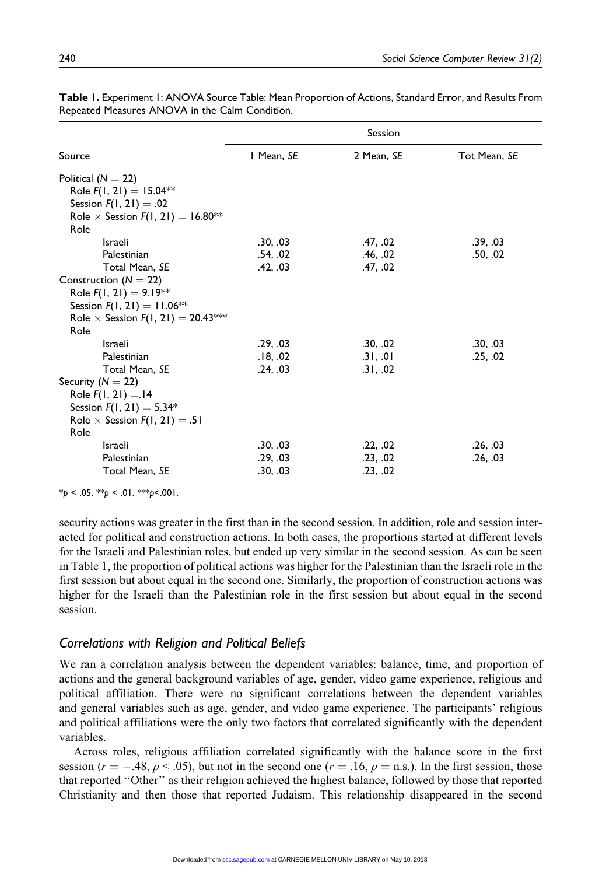| Source                                                                                                                                                          | Session                          |                                  |                      |
|-----------------------------------------------------------------------------------------------------------------------------------------------------------------|----------------------------------|----------------------------------|----------------------|
|                                                                                                                                                                 | 1 Mean, SE                       | 2 Mean, SE                       | Tot Mean, SE         |
| Political ( $N = 22$ )<br>Role $F(1, 21) = 15.04**$<br>Session $F(1, 21) = .02$<br>Role $\times$ Session $F(1, 21) = 16.80**$<br>Role<br>Israeli<br>Palestinian | .30, .03<br>.54, .02             | .47, .02<br>.46, .02             | .39, .03<br>.50, .02 |
| Total Mean, SE<br>Construction ( $N = 22$ )<br>Role $F(1, 21) = 9.19**$<br>Session $F(1, 21) = 11.06**$<br>Role $\times$ Session $F(1, 21) = 20.43$ ***<br>Role | .42, .03                         | .47, .02                         |                      |
| Israeli<br>Palestinian<br>Total Mean, SE<br>Security ( $N = 22$ )                                                                                               | .29. .03<br>.18, .02<br>.24, .03 | .30, .02<br>.31, .01<br>.31, .02 | .30, .03<br>.25. .02 |
| Role $F(1, 21) = 14$<br>Session $F(1, 21) = 5.34*$<br>Role $\times$ Session $F(1, 21) = .51$<br>Role<br>Israeli<br>Palestinian<br>Total Mean, SE                | .30, .03<br>.29, .03<br>.30, .03 | .22, .02<br>.23, .02<br>.23, .02 | .26, .03<br>.26, .03 |

Table 1. Experiment 1: ANOVA Source Table: Mean Proportion of Actions, Standard Error, and Results From Repeated Measures ANOVA in the Calm Condition.

 $*_{p}$  < .05.  $*_{p}$  < .01.  $*_{p}$ sex, 001.

security actions was greater in the first than in the second session. In addition, role and session interacted for political and construction actions. In both cases, the proportions started at different levels for the Israeli and Palestinian roles, but ended up very similar in the second session. As can be seen in Table 1, the proportion of political actions was higher for the Palestinian than the Israeli role in the first session but about equal in the second one. Similarly, the proportion of construction actions was higher for the Israeli than the Palestinian role in the first session but about equal in the second session.

# Correlations with Religion and Political Beliefs

We ran a correlation analysis between the dependent variables: balance, time, and proportion of actions and the general background variables of age, gender, video game experience, religious and political affiliation. There were no significant correlations between the dependent variables and general variables such as age, gender, and video game experience. The participants' religious and political affiliations were the only two factors that correlated significantly with the dependent variables.

Across roles, religious affiliation correlated significantly with the balance score in the first session ( $r = -.48$ ,  $p < .05$ ), but not in the second one ( $r = .16$ ,  $p =$  n.s.). In the first session, those that reported ''Other'' as their religion achieved the highest balance, followed by those that reported Christianity and then those that reported Judaism. This relationship disappeared in the second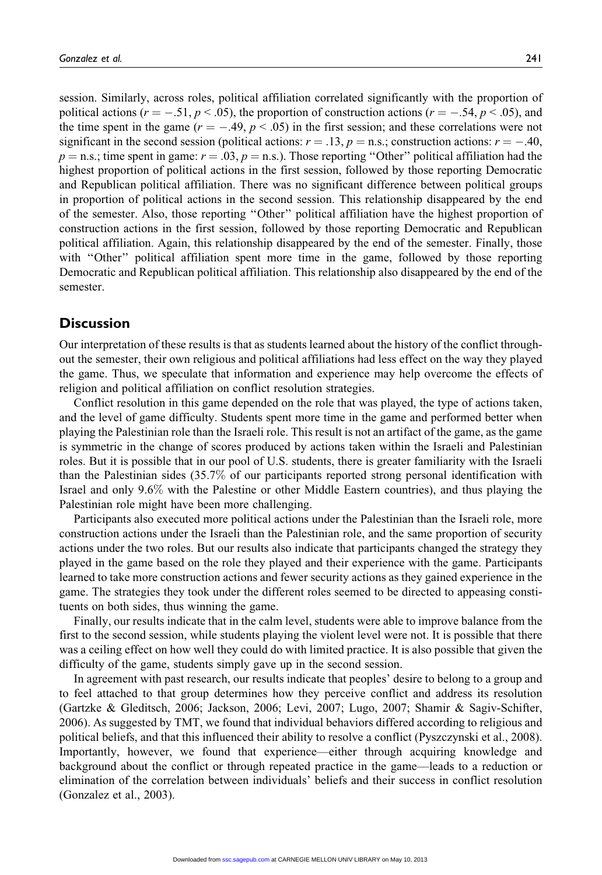session. Similarly, across roles, political affiliation correlated significantly with the proportion of political actions ( $r = -.51$ ,  $p < .05$ ), the proportion of construction actions ( $r = -.54$ ,  $p < .05$ ), and the time spent in the game  $(r = -.49, p < .05)$  in the first session; and these correlations were not significant in the second session (political actions:  $r = .13$ ,  $p = n.s.$ ; construction actions:  $r = -.40$ ,  $p =$  n.s.; time spent in game:  $r = .03$ ,  $p =$  n.s.). Those reporting "Other" political affiliation had the highest proportion of political actions in the first session, followed by those reporting Democratic and Republican political affiliation. There was no significant difference between political groups in proportion of political actions in the second session. This relationship disappeared by the end of the semester. Also, those reporting ''Other'' political affiliation have the highest proportion of construction actions in the first session, followed by those reporting Democratic and Republican political affiliation. Again, this relationship disappeared by the end of the semester. Finally, those with "Other" political affiliation spent more time in the game, followed by those reporting Democratic and Republican political affiliation. This relationship also disappeared by the end of the semester.

# **Discussion**

Our interpretation of these results is that as students learned about the history of the conflict throughout the semester, their own religious and political affiliations had less effect on the way they played the game. Thus, we speculate that information and experience may help overcome the effects of religion and political affiliation on conflict resolution strategies.

Conflict resolution in this game depended on the role that was played, the type of actions taken, and the level of game difficulty. Students spent more time in the game and performed better when playing the Palestinian role than the Israeli role. This result is not an artifact of the game, as the game is symmetric in the change of scores produced by actions taken within the Israeli and Palestinian roles. But it is possible that in our pool of U.S. students, there is greater familiarity with the Israeli than the Palestinian sides (35.7% of our participants reported strong personal identification with Israel and only 9.6% with the Palestine or other Middle Eastern countries), and thus playing the Palestinian role might have been more challenging.

Participants also executed more political actions under the Palestinian than the Israeli role, more construction actions under the Israeli than the Palestinian role, and the same proportion of security actions under the two roles. But our results also indicate that participants changed the strategy they played in the game based on the role they played and their experience with the game. Participants learned to take more construction actions and fewer security actions as they gained experience in the game. The strategies they took under the different roles seemed to be directed to appeasing constituents on both sides, thus winning the game.

Finally, our results indicate that in the calm level, students were able to improve balance from the first to the second session, while students playing the violent level were not. It is possible that there was a ceiling effect on how well they could do with limited practice. It is also possible that given the difficulty of the game, students simply gave up in the second session.

In agreement with past research, our results indicate that peoples' desire to belong to a group and to feel attached to that group determines how they perceive conflict and address its resolution (Gartzke & Gleditsch, 2006; Jackson, 2006; Levi, 2007; Lugo, 2007; Shamir & Sagiv-Schifter, 2006). As suggested by TMT, we found that individual behaviors differed according to religious and political beliefs, and that this influenced their ability to resolve a conflict (Pyszczynski et al., 2008). Importantly, however, we found that experience—either through acquiring knowledge and background about the conflict or through repeated practice in the game––leads to a reduction or elimination of the correlation between individuals' beliefs and their success in conflict resolution (Gonzalez et al., 2003).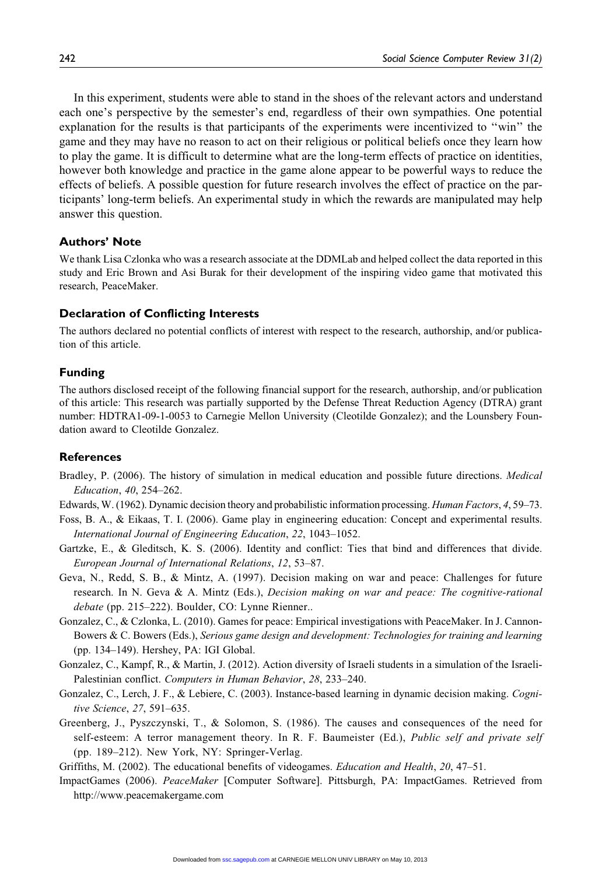In this experiment, students were able to stand in the shoes of the relevant actors and understand each one's perspective by the semester's end, regardless of their own sympathies. One potential explanation for the results is that participants of the experiments were incentivized to "win" the game and they may have no reason to act on their religious or political beliefs once they learn how to play the game. It is difficult to determine what are the long-term effects of practice on identities, however both knowledge and practice in the game alone appear to be powerful ways to reduce the effects of beliefs. A possible question for future research involves the effect of practice on the participants' long-term beliefs. An experimental study in which the rewards are manipulated may help answer this question.

#### Authors' Note

We thank Lisa Czlonka who was a research associate at the DDMLab and helped collect the data reported in this study and Eric Brown and Asi Burak for their development of the inspiring video game that motivated this research, PeaceMaker.

#### Declaration of Conflicting Interests

The authors declared no potential conflicts of interest with respect to the research, authorship, and/or publication of this article.

#### Funding

The authors disclosed receipt of the following financial support for the research, authorship, and/or publication of this article: This research was partially supported by the Defense Threat Reduction Agency (DTRA) grant number: HDTRA1-09-1-0053 to Carnegie Mellon University (Cleotilde Gonzalez); and the Lounsbery Foundation award to Cleotilde Gonzalez.

#### **References**

- Bradley, P. (2006). The history of simulation in medical education and possible future directions. Medical Education, 40, 254–262.
- Edwards, W. (1962). Dynamic decision theory and probabilistic information processing. Human Factors, 4, 59–73.
- Foss, B. A., & Eikaas, T. I. (2006). Game play in engineering education: Concept and experimental results. International Journal of Engineering Education, 22, 1043–1052.
- Gartzke, E., & Gleditsch, K. S. (2006). Identity and conflict: Ties that bind and differences that divide. European Journal of International Relations, 12, 53–87.
- Geva, N., Redd, S. B., & Mintz, A. (1997). Decision making on war and peace: Challenges for future research. In N. Geva & A. Mintz (Eds.), Decision making on war and peace: The cognitive-rational debate (pp. 215–222). Boulder, CO: Lynne Rienner..
- Gonzalez, C., & Czlonka, L. (2010). Games for peace: Empirical investigations with PeaceMaker. In J. Cannon-Bowers & C. Bowers (Eds.), Serious game design and development: Technologies for training and learning (pp. 134–149). Hershey, PA: IGI Global.
- Gonzalez, C., Kampf, R., & Martin, J. (2012). Action diversity of Israeli students in a simulation of the Israeli-Palestinian conflict. Computers in Human Behavior, 28, 233–240.
- Gonzalez, C., Lerch, J. F., & Lebiere, C. (2003). Instance-based learning in dynamic decision making. Cognitive Science, 27, 591–635.
- Greenberg, J., Pyszczynski, T., & Solomon, S. (1986). The causes and consequences of the need for self-esteem: A terror management theory. In R. F. Baumeister (Ed.), Public self and private self (pp. 189–212). New York, NY: Springer-Verlag.

Griffiths, M. (2002). The educational benefits of videogames. Education and Health, 20, 47–51.

ImpactGames (2006). PeaceMaker [Computer Software]. Pittsburgh, PA: ImpactGames. Retrieved from <http://www.peacemakergame.com>